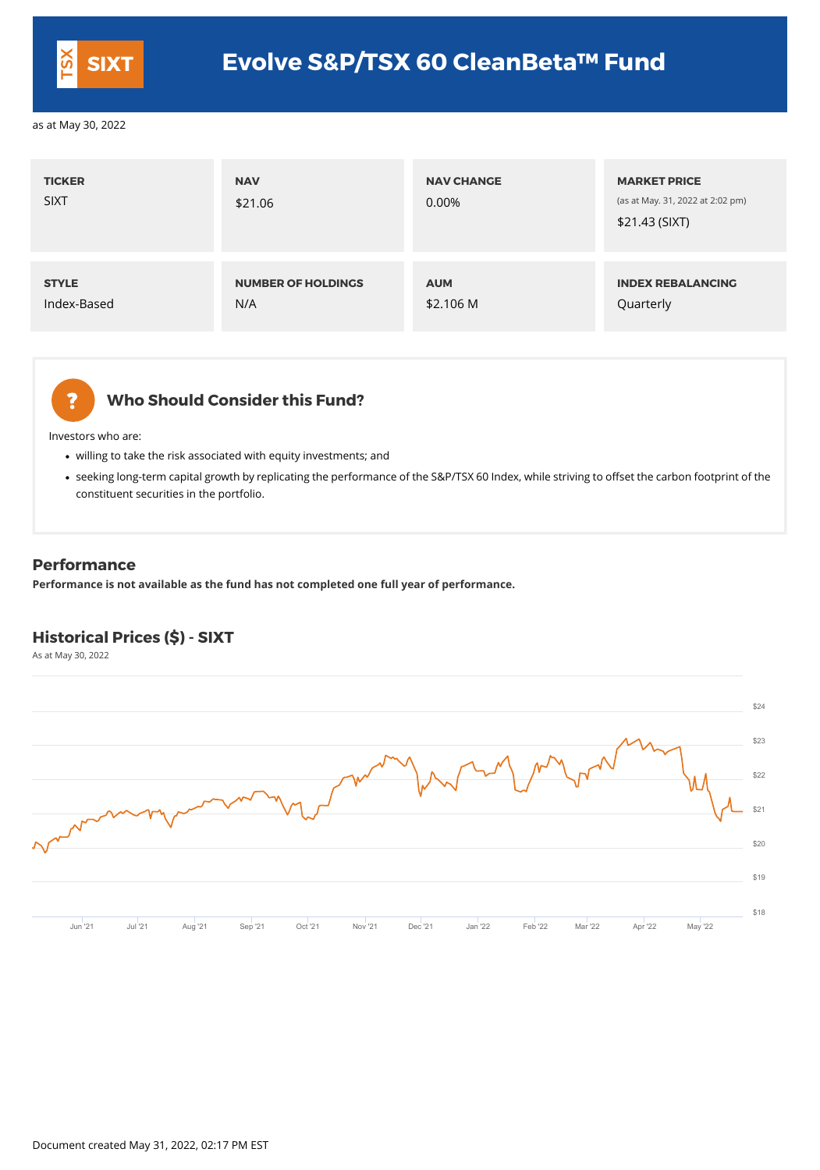## **Who Should Consider this Fund?**

Investors who are:

- willing to take the risk associated with equity investments; and
- seeking long-term capital growth by replicating the performance of the S&P/TSX 60 Index, while striving to offset the carbon footprint of the constituent securities in the portfolio.

| <b>TICKER</b><br><b>SIXT</b> | <b>NAV</b><br>\$21.06     | <b>NAV CHANGE</b><br>0.00% | <b>MARKET PRICE</b><br>(as at May. 31, 2022 at 2:02 pm)<br>\$21.43 (SIXT) |
|------------------------------|---------------------------|----------------------------|---------------------------------------------------------------------------|
| <b>STYLE</b>                 | <b>NUMBER OF HOLDINGS</b> | <b>AUM</b>                 | <b>INDEX REBALANCING</b>                                                  |
| Index-Based                  | N/A                       | \$2.106 M                  | Quarterly                                                                 |



## **Performance**

**Performance is not available as the fund has not completed one full year of performance.**

## **Historical Prices (\$) - SIXT**

As at May 30, 2022



|                |  |  |  |                                                                                                          |  |  | \$18 |
|----------------|--|--|--|----------------------------------------------------------------------------------------------------------|--|--|------|
| <b>Jun '21</b> |  |  |  | Jul 21    Aug 21    Sep 21    Oct 21    Nov 21    Dec 21    Jan 22    Feb 22   Mar 22    Apr 22   May 22 |  |  |      |



|                        | \$24 |
|------------------------|------|
|                        | \$23 |
|                        | \$22 |
| $\boldsymbol{\Lambda}$ | \$21 |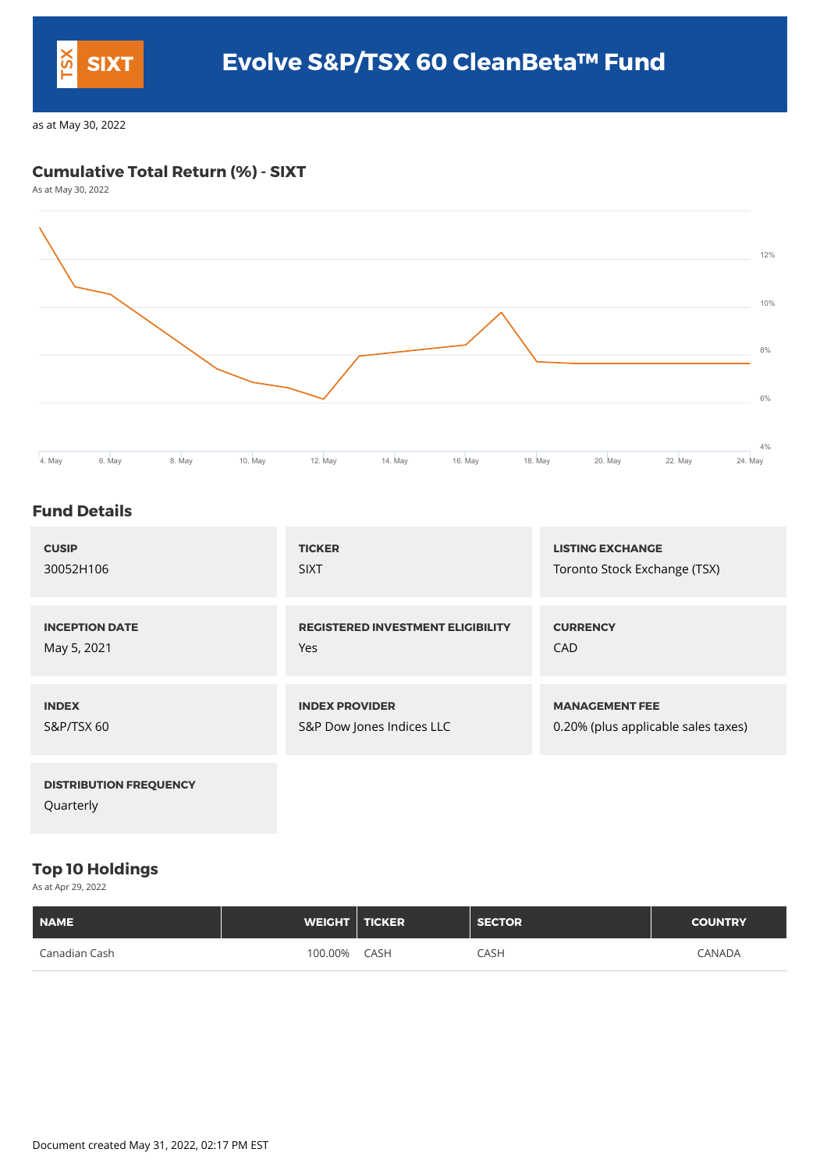## **Cumulative Total Return (%) - SIXT**

As at May 30, 2022



## **Fund Details**

| <b>CUSIP</b>                  | <b>TICKER</b>                            | <b>LISTING EXCHANGE</b>             |
|-------------------------------|------------------------------------------|-------------------------------------|
| 30052H106                     | <b>SIXT</b>                              | Toronto Stock Exchange (TSX)        |
| <b>INCEPTION DATE</b>         | <b>REGISTERED INVESTMENT ELIGIBILITY</b> | <b>CURRENCY</b>                     |
| May 5, 2021                   | Yes                                      | <b>CAD</b>                          |
| <b>INDEX</b>                  | <b>INDEX PROVIDER</b>                    | <b>MANAGEMENT FEE</b>               |
| <b>S&amp;P/TSX 60</b>         | S&P Dow Jones Indices LLC                | 0.20% (plus applicable sales taxes) |
| <b>DISTRIBUTION FREQUENCY</b> |                                          |                                     |

Quarterly

## **Top 10 Holdings**

As at Apr 29, 2022

| <b>NAME</b>   | <b>WEIGHT   TICKER</b> |             | <b>SECTOR</b> | <b>COUNTRY</b> |
|---------------|------------------------|-------------|---------------|----------------|
| Canadian Cash | 100.00%                | <b>CASH</b> | <b>CASH</b>   | <b>CANADA</b>  |

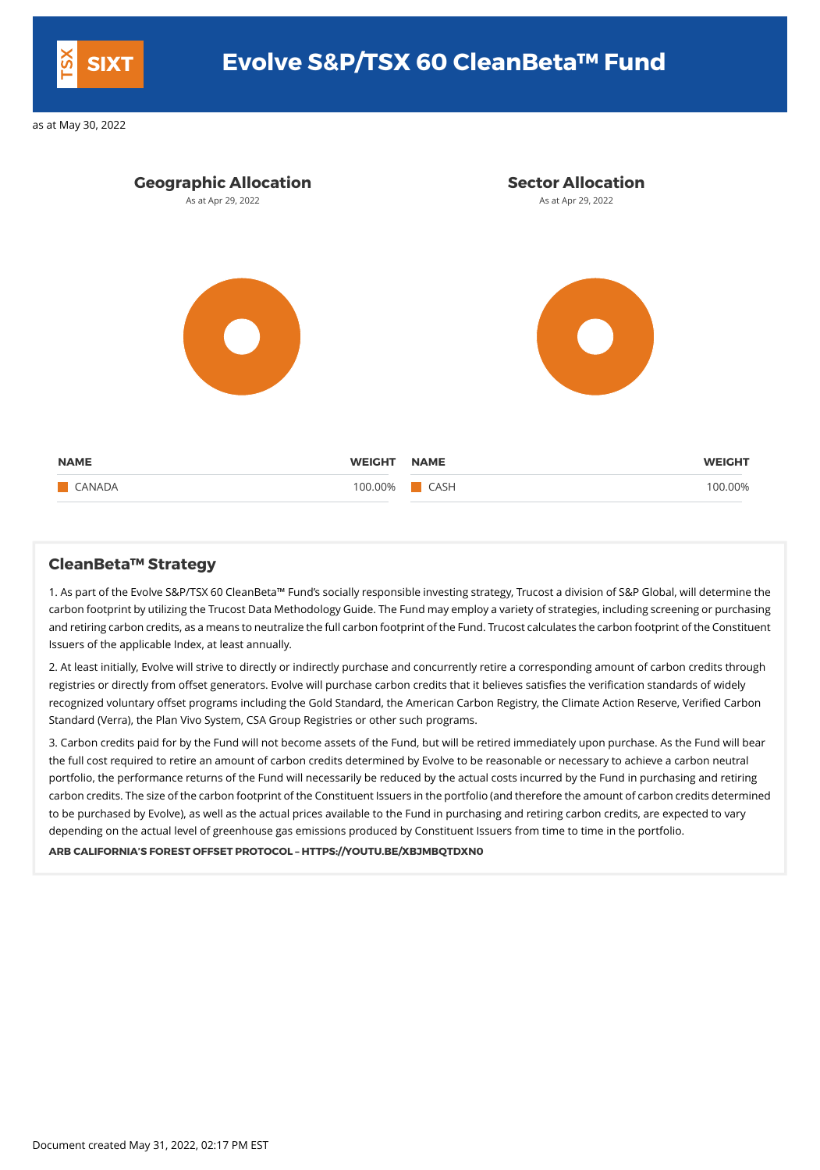

## **CleanBeta™ Strategy**

1. As part of the Evolve S&P/TSX 60 CleanBeta™ Fund's socially responsible investing strategy, Trucost a division of S&P Global, will determine the carbon footprint by utilizing the Trucost Data Methodology Guide. The Fundmay employ a variety of strategies, including screening or purchasing and retiring carbon credits, as ameans to neutralize the full carbon footprint of the Fund. Trucost calculates the carbon footprint of the Constituent Issuers of the applicable Index, at least annually.

2. At least initially, Evolve will strive to directly or indirectly purchase and concurrently retire a corresponding amount of carbon credits through registries or directly from offset generators. Evolve will purchase carbon credits that it believes satisfies the verification standards of widely recognized voluntary offset programs including the Gold Standard, the American Carbon Registry, the Climate Action Reserve, Verified Carbon Standard (Verra), the Plan Vivo System, CSA Group Registries or other such programs.

3. Carbon credits paid for by the Fund will not become assets of the Fund, but will be retired immediately upon purchase. As the Fund will bear the full cost required to retire an amount of carbon credits determined by Evolve to be reasonable or necessary to achieve a carbon neutral portfolio, the performance returns of the Fund will necessarily be reduced by the actual costs incurred by the Fund in purchasing and retiring carbon credits. The size of the carbon footprint of the Constituent Issuers in the portfolio (and therefore the amount of carbon credits determined

to be purchased by Evolve), as well as the actual prices available to the Fund in purchasing and retiring carbon credits, are expected to vary depending on the actual level of greenhouse gas emissions produced by Constituent Issuers from time to time in the portfolio.

### **ARB CALIFORNIA'S FOREST OFFSET PROTOCOL – HTTPS://YOUTU.BE/XBJMBQTDXN0**

Document created May 31, 2022, 02:17 PM EST



# **SIXT Evolve S&P/TSX 60 CleanBeta™ Fund**